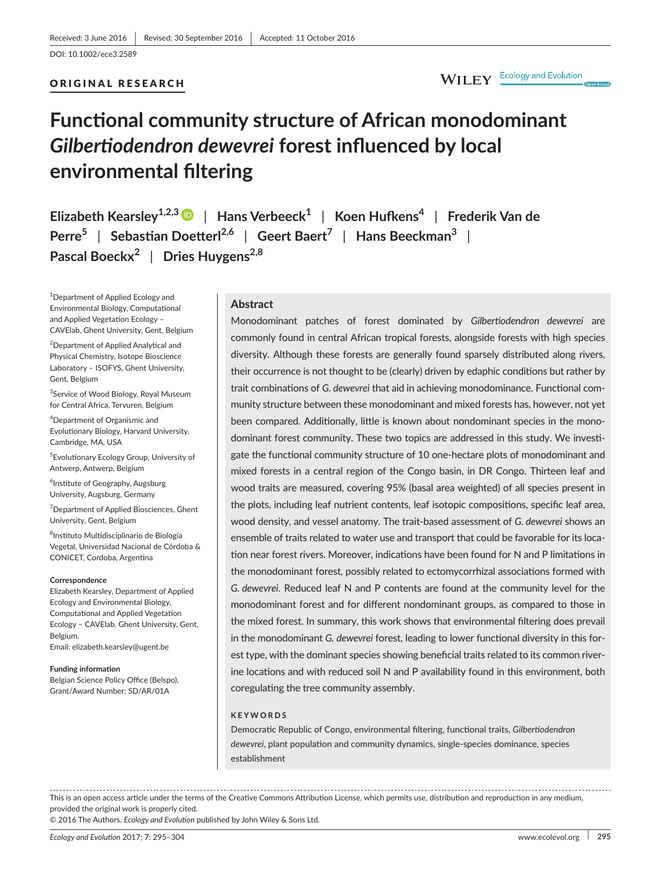## ORIGINAL RESEARCH

## WILEY Ecology and Evolution

# **Functional community structure of African monodominant**  *Gilbertiodendron dewevrei* **forest influenced by local environmental filtering**

**Elizabeth Kearsley1,2,3** | **Hans Verbeeck<sup>1</sup>** | **Koen Hufkens<sup>4</sup>** | **Frederik Van de Perre<sup>5</sup>** | **Sebastian Doetterl2,6** | **Geert Baert<sup>7</sup>** | **Hans Beeckman<sup>3</sup>** | **Pascal Boeckx<sup>2</sup>** | **Dries Huygens2,8**

<sup>1</sup>Department of Applied Ecology and Environmental Biology, Computational and Applied Vegetation Ecology – CAVElab, Ghent University, Gent, Belgium

<sup>2</sup>Department of Applied Analytical and Physical Chemistry, Isotope Bioscience Laboratory – ISOFYS, Ghent University, Gent, Belgium

<sup>3</sup>Service of Wood Biology, Royal Museum for Central Africa, Tervuren, Belgium

4 Department of Organismic and Evolutionary Biology, Harvard University, Cambridge, MA, USA

5 Evolutionary Ecology Group, University of Antwerp, Antwerp, Belgium

6 Institute of Geography, Augsburg University, Augsburg, Germany

<sup>7</sup>Department of Applied Biosciences, Ghent University, Gent, Belgium

 $^8$ Instituto Multidisciplinario de Biología Vegetal, Universidad Nacional de Córdoba & CONICET, Cordoba, Argentina

#### **Correspondence**

Elizabeth Kearsley, Department of Applied Ecology and Environmental Biology, Computational and Applied Vegetation Ecology – CAVElab, Ghent University, Gent, Belgium.

Email: [elizabeth.kearsley@ugent.be](mailto:elizabeth.kearsley@ugent.be)

#### **Funding information**

Belgian Science Policy Office (Belspo), Grant/Award Number: SD/AR/01A

#### **Abstract**

Monodominant patches of forest dominated by *Gilbertiodendron dewevrei* are commonly found in central African tropical forests, alongside forests with high species diversity. Although these forests are generally found sparsely distributed along rivers, their occurrence is not thought to be (clearly) driven by edaphic conditions but rather by trait combinations of *G. dewevrei* that aid in achieving monodominance. Functional community structure between these monodominant and mixed forests has, however, not yet been compared. Additionally, little is known about nondominant species in the monodominant forest community. These two topics are addressed in this study. We investigate the functional community structure of 10 one-hectare plots of monodominant and mixed forests in a central region of the Congo basin, in DR Congo. Thirteen leaf and wood traits are measured, covering 95% (basal area weighted) of all species present in the plots, including leaf nutrient contents, leaf isotopic compositions, specific leaf area, wood density, and vessel anatomy. The trait-based assessment of *G. dewevrei* shows an ensemble of traits related to water use and transport that could be favorable for its location near forest rivers. Moreover, indications have been found for N and P limitations in the monodominant forest, possibly related to ectomycorrhizal associations formed with *G. dewevrei*. Reduced leaf N and P contents are found at the community level for the monodominant forest and for different nondominant groups, as compared to those in the mixed forest. In summary, this work shows that environmental filtering does prevail in the monodominant *G. dewevrei* forest, leading to lower functional diversity in this forest type, with the dominant species showing beneficial traits related to its common riverine locations and with reduced soil N and P availability found in this environment, both coregulating the tree community assembly.

#### **KEYWORDS**

Democratic Republic of Congo, environmental filtering, functional traits, *Gilbertiodendron dewevrei*, plant population and community dynamics, single-species dominance, species establishment

This is an open access article under the terms of the Creative Commons [Attribution](http://creativecommons.org/licenses/by/4.0/) License, which permits use, distribution and reproduction in any medium, provided the original work is properly cited.

© 2016 The Authors. *Ecology and Evolution* published by John Wiley & Sons Ltd.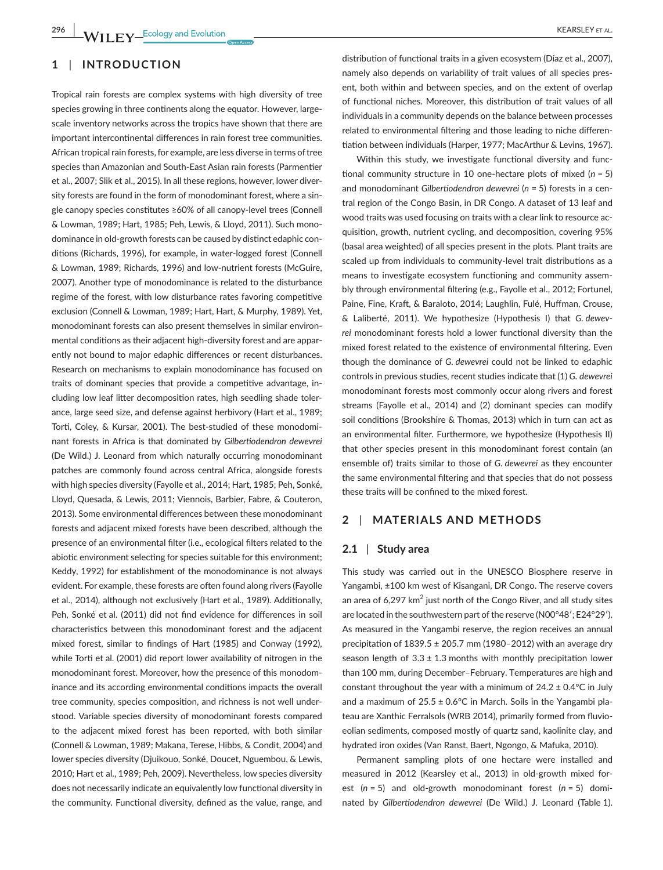## **1** | **INTRODUCTION**

Tropical rain forests are complex systems with high diversity of tree species growing in three continents along the equator. However, largescale inventory networks across the tropics have shown that there are important intercontinental differences in rain forest tree communities. African tropical rain forests, for example, are less diverse in terms of tree species than Amazonian and South-East Asian rain forests (Parmentier et al., 2007; Slik et al., 2015). In all these regions, however, lower diversity forests are found in the form of monodominant forest, where a single canopy species constitutes ≥60% of all canopy-level trees (Connell & Lowman, 1989; Hart, 1985; Peh, Lewis, & Lloyd, 2011). Such monodominance in old-growth forests can be caused by distinct edaphic conditions (Richards, 1996), for example, in water-logged forest (Connell & Lowman, 1989; Richards, 1996) and low-nutrient forests (McGuire, 2007). Another type of monodominance is related to the disturbance regime of the forest, with low disturbance rates favoring competitive exclusion (Connell & Lowman, 1989; Hart, Hart, & Murphy, 1989). Yet, monodominant forests can also present themselves in similar environmental conditions as their adjacent high-diversity forest and are apparently not bound to major edaphic differences or recent disturbances. Research on mechanisms to explain monodominance has focused on traits of dominant species that provide a competitive advantage, including low leaf litter decomposition rates, high seedling shade tolerance, large seed size, and defense against herbivory (Hart et al., 1989; Torti, Coley, & Kursar, 2001). The best-studied of these monodominant forests in Africa is that dominated by *Gilbertiodendron dewevrei* (De Wild.) J. Leonard from which naturally occurring monodominant patches are commonly found across central Africa, alongside forests with high species diversity (Fayolle et al., 2014; Hart, 1985; Peh, Sonké, Lloyd, Quesada, & Lewis, 2011; Viennois, Barbier, Fabre, & Couteron, 2013). Some environmental differences between these monodominant forests and adjacent mixed forests have been described, although the presence of an environmental filter (i.e., ecological filters related to the abiotic environment selecting for species suitable for this environment; Keddy, 1992) for establishment of the monodominance is not always evident. For example, these forests are often found along rivers (Fayolle et al., 2014), although not exclusively (Hart et al., 1989). Additionally, Peh, Sonké et al. (2011) did not find evidence for differences in soil characteristics between this monodominant forest and the adjacent mixed forest, similar to findings of Hart (1985) and Conway (1992), while Torti et al. (2001) did report lower availability of nitrogen in the monodominant forest. Moreover, how the presence of this monodominance and its according environmental conditions impacts the overall tree community, species composition, and richness is not well understood. Variable species diversity of monodominant forests compared to the adjacent mixed forest has been reported, with both similar (Connell & Lowman, 1989; Makana, Terese, Hibbs, & Condit, 2004) and lower species diversity (Djuikouo, Sonké, Doucet, Nguembou, & Lewis, 2010; Hart et al., 1989; Peh, 2009). Nevertheless, low species diversity does not necessarily indicate an equivalently low functional diversity in the community. Functional diversity, defined as the value, range, and

distribution of functional traits in a given ecosystem (Díaz et al., 2007). namely also depends on variability of trait values of all species present, both within and between species, and on the extent of overlap of functional niches. Moreover, this distribution of trait values of all individuals in a community depends on the balance between processes related to environmental filtering and those leading to niche differentiation between individuals (Harper, 1977; MacArthur & Levins, 1967).

Within this study, we investigate functional diversity and functional community structure in 10 one-hectare plots of mixed (*n* = 5) and monodominant *Gilbertiodendron dewevrei* (*n* = 5) forests in a central region of the Congo Basin, in DR Congo. A dataset of 13 leaf and wood traits was used focusing on traits with a clear link to resource acquisition, growth, nutrient cycling, and decomposition, covering 95% (basal area weighted) of all species present in the plots. Plant traits are scaled up from individuals to community-level trait distributions as a means to investigate ecosystem functioning and community assembly through environmental filtering (e.g., Fayolle et al., 2012; Fortunel, Paine, Fine, Kraft, & Baraloto, 2014; Laughlin, Fulé, Huffman, Crouse, & Laliberté, 2011). We hypothesize (Hypothesis I) that *G. dewevrei* monodominant forests hold a lower functional diversity than the mixed forest related to the existence of environmental filtering. Even though the dominance of *G. dewevrei* could not be linked to edaphic controls in previous studies, recent studies indicate that (1) *G. dewevrei* monodominant forests most commonly occur along rivers and forest streams (Fayolle et al., 2014) and (2) dominant species can modify soil conditions (Brookshire & Thomas, 2013) which in turn can act as an environmental filter. Furthermore, we hypothesize (Hypothesis II) that other species present in this monodominant forest contain (an ensemble of) traits similar to those of *G. dewevrei* as they encounter the same environmental filtering and that species that do not possess these traits will be confined to the mixed forest.

## **2** | **MATERIALS AND METHODS**

#### **2.1** | **Study area**

This study was carried out in the UNESCO Biosphere reserve in Yangambi, ±100 km west of Kisangani, DR Congo. The reserve covers an area of  $6,297$  km<sup>2</sup> just north of the Congo River, and all study sites are located in the southwestern part of the reserve (N00°48': E24°29'). As measured in the Yangambi reserve, the region receives an annual precipitation of  $1839.5 \pm 205.7$  mm (1980–2012) with an average dry season length of  $3.3 \pm 1.3$  months with monthly precipitation lower than 100 mm, during December–February. Temperatures are high and constant throughout the year with a minimum of  $24.2 \pm 0.4$ °C in July and a maximum of  $25.5 \pm 0.6$ °C in March. Soils in the Yangambi plateau are Xanthic Ferralsols (WRB 2014), primarily formed from fluvioeolian sediments, composed mostly of quartz sand, kaolinite clay, and hydrated iron oxides (Van Ranst, Baert, Ngongo, & Mafuka, 2010).

Permanent sampling plots of one hectare were installed and measured in 2012 (Kearsley et al., 2013) in old-growth mixed forest (*n* = 5) and old-growth monodominant forest (*n* = 5) dominated by *Gilbertiodendron dewevrei* (De Wild.) J. Leonard (Table 1).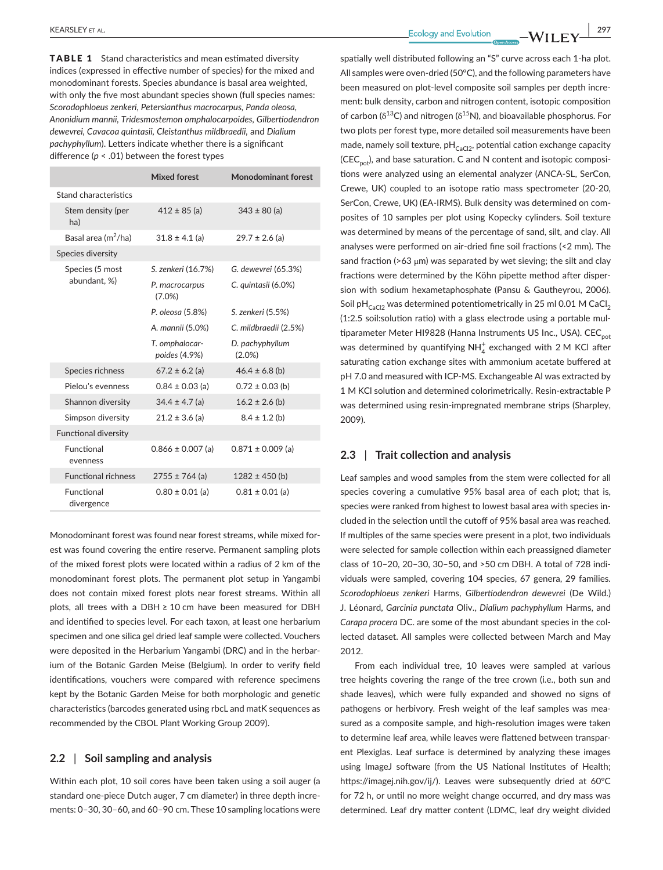TABLE 1 Stand characteristics and mean estimated diversity indices (expressed in effective number of species) for the mixed and monodominant forests. Species abundance is basal area weighted, with only the five most abundant species shown (full species names: *Scorodophloeus zenkeri, Petersianthus macrocarpus, Panda oleosa, Anonidium mannii, Tridesmostemon omphalocarpoides, Gilbertiodendron dewevrei, Cavacoa quintasii, Cleistanthus mildbraedii,* and *Dialium pachyphyllum*). Letters indicate whether there is a significant difference (*p* < .01) between the forest types

|                                 | <b>Mixed forest</b>                      | <b>Monodominant forest</b>   |  |
|---------------------------------|------------------------------------------|------------------------------|--|
| Stand characteristics           |                                          |                              |  |
| Stem density (per<br>ha)        | $412 \pm 85$ (a)                         | $343 \pm 80$ (a)             |  |
| Basal area (m <sup>2</sup> /ha) | $31.8 \pm 4.1$ (a)<br>$29.7 \pm 2.6$ (a) |                              |  |
| Species diversity               |                                          |                              |  |
| Species (5 most<br>abundant, %) | S. zenkeri (16.7%)                       | G. dewevrei (65.3%)          |  |
|                                 | P. macrocarpus<br>$(7.0\%)$              | C. quintasii (6.0%)          |  |
|                                 | P. oleosa (5.8%)                         | S. zenkeri (5.5%)            |  |
|                                 | A. mannii (5.0%)                         | C. mildbraedii (2.5%)        |  |
|                                 | T. omphalocar-<br>poides (4.9%)          | D. pachyphyllum<br>$(2.0\%)$ |  |
| Species richness                | $67.2 \pm 6.2$ (a)                       | $46.4 \pm 6.8$ (b)           |  |
| Pielou's evenness               | $0.84 \pm 0.03$ (a)                      | $0.72 \pm 0.03$ (b)          |  |
| Shannon diversity               | $34.4 \pm 4.7$ (a)                       | $16.2 \pm 2.6$ (b)           |  |
| Simpson diversity               | $21.2 \pm 3.6$ (a)                       | $8.4 \pm 1.2$ (b)            |  |
| <b>Functional diversity</b>     |                                          |                              |  |
| <b>Functional</b><br>evenness   | $0.866 \pm 0.007$ (a)                    | $0.871 \pm 0.009$ (a)        |  |
| <b>Functional richness</b>      | $2755 \pm 764$ (a)                       | $1282 \pm 450$ (b)           |  |
| Functional<br>divergence        | $0.80 \pm 0.01$ (a)                      | $0.81 \pm 0.01$ (a)          |  |

Monodominant forest was found near forest streams, while mixed forest was found covering the entire reserve. Permanent sampling plots of the mixed forest plots were located within a radius of 2 km of the monodominant forest plots. The permanent plot setup in Yangambi does not contain mixed forest plots near forest streams. Within all plots, all trees with a DBH ≥ 10 cm have been measured for DBH and identified to species level. For each taxon, at least one herbarium specimen and one silica gel dried leaf sample were collected. Vouchers were deposited in the Herbarium Yangambi (DRC) and in the herbarium of the Botanic Garden Meise (Belgium). In order to verify field identifications, vouchers were compared with reference specimens kept by the Botanic Garden Meise for both morphologic and genetic characteristics (barcodes generated using rbcL and matK sequences as recommended by the CBOL Plant Working Group 2009).

#### **2.2** | **Soil sampling and analysis**

Within each plot, 10 soil cores have been taken using a soil auger (a standard one-piece Dutch auger, 7 cm diameter) in three depth increments: 0–30, 30–60, and 60–90 cm. These 10 sampling locations were spatially well distributed following an "S" curve across each 1-ha plot. All samples were oven-dried (50°C), and the following parameters have been measured on plot-level composite soil samples per depth increment: bulk density, carbon and nitrogen content, isotopic composition of carbon ( $\delta^{13}$ C) and nitrogen ( $\delta^{15}$ N), and bioavailable phosphorus. For two plots per forest type, more detailed soil measurements have been made, namely soil texture,  $pH_{CaCl2}$ , potential cation exchange capacity  $(CEC_{pot}$ , and base saturation. C and N content and isotopic compositions were analyzed using an elemental analyzer (ANCA-SL, SerCon, Crewe, UK) coupled to an isotope ratio mass spectrometer (20-20, SerCon, Crewe, UK) (EA-IRMS). Bulk density was determined on composites of 10 samples per plot using Kopecky cylinders. Soil texture was determined by means of the percentage of sand, silt, and clay. All analyses were performed on air-dried fine soil fractions (<2 mm). The sand fraction ( $>63 \mu m$ ) was separated by wet sieving; the silt and clay fractions were determined by the Köhn pipette method after dispersion with sodium hexametaphosphate (Pansu & Gautheyrou, 2006). Soil pH $_{CaCl2}$  was determined potentiometrically in 25 ml 0.01 M CaCl<sub>2</sub> (1:2.5 soil:solution ratio) with a glass electrode using a portable multiparameter Meter HI9828 (Hanna Instruments US Inc., USA). CEC<sub>pot</sub> was determined by quantifying  $NH_4^+$  exchanged with 2 M KCl after saturating cation exchange sites with ammonium acetate buffered at pH 7.0 and measured with ICP-MS. Exchangeable Al was extracted by 1 M KCl solution and determined colorimetrically. Resin-extractable P was determined using resin-impregnated membrane strips (Sharpley, 2009).

## **2.3** | **Trait collection and analysis**

Leaf samples and wood samples from the stem were collected for all species covering a cumulative 95% basal area of each plot; that is, species were ranked from highest to lowest basal area with species included in the selection until the cutoff of 95% basal area was reached. If multiples of the same species were present in a plot, two individuals were selected for sample collection within each preassigned diameter class of 10–20, 20–30, 30–50, and >50 cm DBH. A total of 728 individuals were sampled, covering 104 species, 67 genera, 29 families. *Scorodophloeus zenkeri* Harms, *Gilbertiodendron dewevrei* (De Wild.) J. Léonard, *Garcinia punctata* Oliv., *Dialium pachyphyllum* Harms, and *Carapa procera* DC. are some of the most abundant species in the collected dataset. All samples were collected between March and May 2012.

From each individual tree, 10 leaves were sampled at various tree heights covering the range of the tree crown (i.e., both sun and shade leaves), which were fully expanded and showed no signs of pathogens or herbivory. Fresh weight of the leaf samples was measured as a composite sample, and high-resolution images were taken to determine leaf area, while leaves were flattened between transparent Plexiglas. Leaf surface is determined by analyzing these images using ImageJ software (from the US National Institutes of Health; [https://imagej.nih.gov/ij/\)](https://imagej.nih.gov/ij/). Leaves were subsequently dried at 60°C for 72 h, or until no more weight change occurred, and dry mass was determined. Leaf dry matter content (LDMC, leaf dry weight divided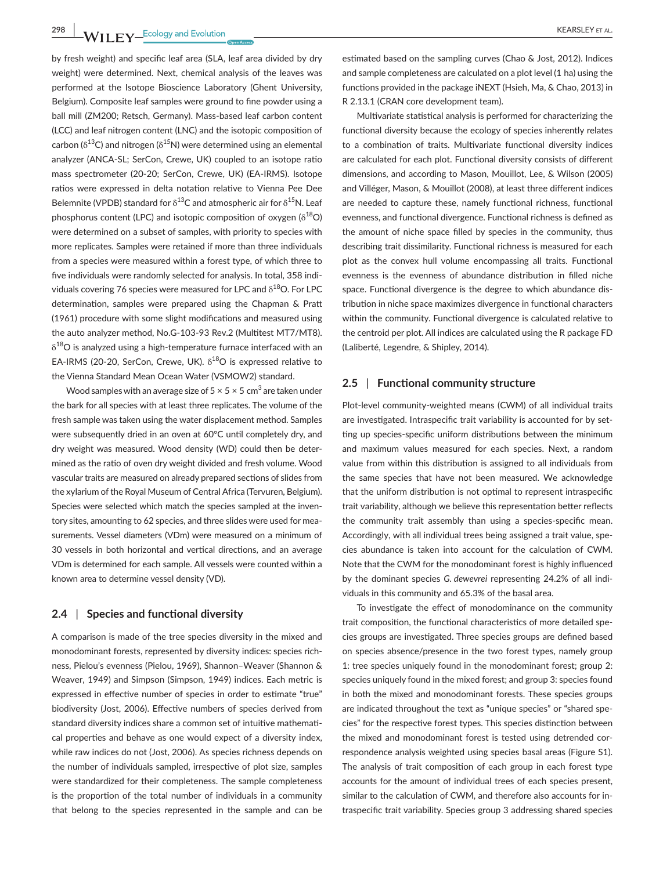**298 WII FY** Ecology and Evolution **CONSISTER ALL CONSISTENT** EXAMPLE THE REARSLEY ET AL.

by fresh weight) and specific leaf area (SLA, leaf area divided by dry weight) were determined. Next, chemical analysis of the leaves was performed at the Isotope Bioscience Laboratory (Ghent University, Belgium). Composite leaf samples were ground to fine powder using a ball mill (ZM200; Retsch, Germany). Mass-based leaf carbon content (LCC) and leaf nitrogen content (LNC) and the isotopic composition of carbon ( $\delta^{13}$ C) and nitrogen ( $\delta^{15}$ N) were determined using an elemental analyzer (ANCA-SL; SerCon, Crewe, UK) coupled to an isotope ratio mass spectrometer (20-20; SerCon, Crewe, UK) (EA-IRMS). Isotope ratios were expressed in delta notation relative to Vienna Pee Dee Belemnite (VPDB) standard for  $\delta^{13}$ C and atmospheric air for  $\delta^{15}$ N. Leaf phosphorus content (LPC) and isotopic composition of oxygen  $(\delta^{18}O)$ were determined on a subset of samples, with priority to species with more replicates. Samples were retained if more than three individuals from a species were measured within a forest type, of which three to five individuals were randomly selected for analysis. In total, 358 individuals covering 76 species were measured for LPC and  $\delta^{18}$ O. For LPC determination, samples were prepared using the Chapman & Pratt (1961) procedure with some slight modifications and measured using the auto analyzer method, No.G-103-93 Rev.2 (Multitest MT7/MT8).  $\delta^{18}$ O is analyzed using a high-temperature furnace interfaced with an EA-IRMS (20-20, SerCon, Crewe, UK).  $\delta^{18}$ O is expressed relative to the Vienna Standard Mean Ocean Water (VSMOW2) standard.

Wood samples with an average size of  $5 \times 5 \times 5$  cm<sup>3</sup> are taken under the bark for all species with at least three replicates. The volume of the fresh sample was taken using the water displacement method. Samples were subsequently dried in an oven at 60°C until completely dry, and dry weight was measured. Wood density (WD) could then be determined as the ratio of oven dry weight divided and fresh volume. Wood vascular traits are measured on already prepared sections of slides from the xylarium of the Royal Museum of Central Africa (Tervuren, Belgium). Species were selected which match the species sampled at the inventory sites, amounting to 62 species, and three slides were used for measurements. Vessel diameters (VDm) were measured on a minimum of 30 vessels in both horizontal and vertical directions, and an average VDm is determined for each sample. All vessels were counted within a known area to determine vessel density (VD).

## **2.4** | **Species and functional diversity**

A comparison is made of the tree species diversity in the mixed and monodominant forests, represented by diversity indices: species richness, Pielou's evenness (Pielou, 1969), Shannon–Weaver (Shannon & Weaver, 1949) and Simpson (Simpson, 1949) indices. Each metric is expressed in effective number of species in order to estimate "true" biodiversity (Jost, 2006). Effective numbers of species derived from standard diversity indices share a common set of intuitive mathematical properties and behave as one would expect of a diversity index, while raw indices do not (Jost, 2006). As species richness depends on the number of individuals sampled, irrespective of plot size, samples were standardized for their completeness. The sample completeness is the proportion of the total number of individuals in a community that belong to the species represented in the sample and can be

estimated based on the sampling curves (Chao & Jost, 2012). Indices and sample completeness are calculated on a plot level (1 ha) using the functions provided in the package iNEXT (Hsieh, Ma, & Chao, 2013) in R 2.13.1 (CRAN core development team).

Multivariate statistical analysis is performed for characterizing the functional diversity because the ecology of species inherently relates to a combination of traits. Multivariate functional diversity indices are calculated for each plot. Functional diversity consists of different dimensions, and according to Mason, Mouillot, Lee, & Wilson (2005) and Villéger, Mason, & Mouillot (2008), at least three different indices are needed to capture these, namely functional richness, functional evenness, and functional divergence. Functional richness is defined as the amount of niche space filled by species in the community, thus describing trait dissimilarity. Functional richness is measured for each plot as the convex hull volume encompassing all traits. Functional evenness is the evenness of abundance distribution in filled niche space. Functional divergence is the degree to which abundance distribution in niche space maximizes divergence in functional characters within the community. Functional divergence is calculated relative to the centroid per plot. All indices are calculated using the R package FD (Laliberté, Legendre, & Shipley, 2014).

## **2.5** | **Functional community structure**

Plot-level community-weighted means (CWM) of all individual traits are investigated. Intraspecific trait variability is accounted for by setting up species-specific uniform distributions between the minimum and maximum values measured for each species. Next, a random value from within this distribution is assigned to all individuals from the same species that have not been measured. We acknowledge that the uniform distribution is not optimal to represent intraspecific trait variability, although we believe this representation better reflects the community trait assembly than using a species-specific mean. Accordingly, with all individual trees being assigned a trait value, species abundance is taken into account for the calculation of CWM. Note that the CWM for the monodominant forest is highly influenced by the dominant species *G. dewevrei* representing 24.2% of all individuals in this community and 65.3% of the basal area.

To investigate the effect of monodominance on the community trait composition, the functional characteristics of more detailed species groups are investigated. Three species groups are defined based on species absence/presence in the two forest types, namely group 1: tree species uniquely found in the monodominant forest; group 2: species uniquely found in the mixed forest; and group 3: species found in both the mixed and monodominant forests. These species groups are indicated throughout the text as "unique species" or "shared species" for the respective forest types. This species distinction between the mixed and monodominant forest is tested using detrended correspondence analysis weighted using species basal areas (Figure S1). The analysis of trait composition of each group in each forest type accounts for the amount of individual trees of each species present, similar to the calculation of CWM, and therefore also accounts for intraspecific trait variability. Species group 3 addressing shared species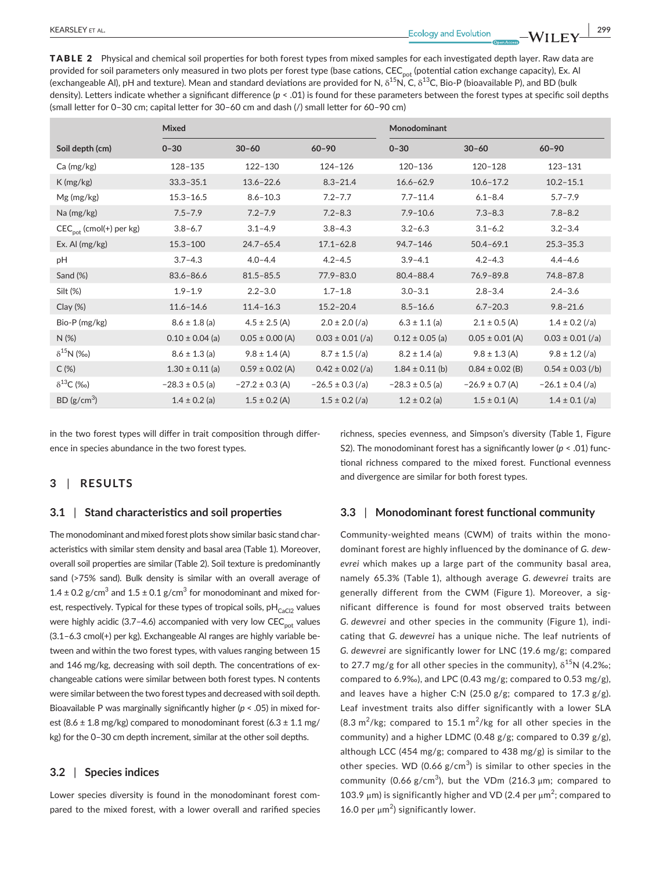TABLE 2 Physical and chemical soil properties for both forest types from mixed samples for each investigated depth layer. Raw data are provided for soil parameters only measured in two plots per forest type (base cations, CEC<sub>pot</sub> (potential cation exchange capacity), Ex. Al (exchangeable Al), pH and texture). Mean and standard deviations are provided for N,  $\delta^{15}$ N, C,  $\delta^{13}$ C, Bio-P (bioavailable P), and BD (bulk density). Letters indicate whether a significant difference (*p* < .01) is found for these parameters between the forest types at specific soil depths (small letter for 0–30 cm; capital letter for 30–60 cm and dash (/) small letter for 60–90 cm)

|                                     | Mixed               |                     |                      | Monodominant        |                     |                      |
|-------------------------------------|---------------------|---------------------|----------------------|---------------------|---------------------|----------------------|
| Soil depth (cm)                     | $0 - 30$            | $30 - 60$           | $60 - 90$            | $0 - 30$            | $30 - 60$           | $60 - 90$            |
| Ca (mg/kg)                          | 128-135             | 122-130             | 124-126              | 120-136             | $120 - 128$         | $123 - 131$          |
| K(mg/kg)                            | $33.3 - 35.1$       | $13.6 - 22.6$       | $8.3 - 21.4$         | $16.6 - 62.9$       | $10.6 - 17.2$       | $10.2 - 15.1$        |
| Mg (mg/kg)                          | $15.3 - 16.5$       | $8.6 - 10.3$        | $7.2 - 7.7$          | $7.7 - 11.4$        | $6.1 - 8.4$         | $5.7 - 7.9$          |
| Na (mg/kg)                          | $7.5 - 7.9$         | $7.2 - 7.9$         | $7.2 - 8.3$          | $7.9 - 10.6$        | $7.3 - 8.3$         | $7.8 - 8.2$          |
| CEC <sub>pot</sub> (cmol(+) per kg) | $3.8 - 6.7$         | $3.1 - 4.9$         | $3.8 - 4.3$          | $3.2 - 6.3$         | $3.1 - 6.2$         | $3.2 - 3.4$          |
| Ex. Al $(mg/kg)$                    | $15.3 - 100$        | $24.7 - 65.4$       | $17.1 - 62.8$        | $94.7 - 146$        | $50.4 - 69.1$       | $25.3 - 35.3$        |
| рH                                  | $3.7 - 4.3$         | $4.0 - 4.4$         | $4.2 - 4.5$          | $3.9 - 4.1$         | $4.2 - 4.3$         | $4.4 - 4.6$          |
| Sand (%)                            | 83.6-86.6           | $81.5 - 85.5$       | 77.9-83.0            | $80.4 - 88.4$       | $76.9 - 89.8$       | 74.8-87.8            |
| Silt (%)                            | $1.9 - 1.9$         | $2.2 - 3.0$         | $1.7 - 1.8$          | $3.0 - 3.1$         | $2.8 - 3.4$         | $2.4 - 3.6$          |
| $Clay (\%)$                         | $11.6 - 14.6$       | $11.4 - 16.3$       | $15.2 - 20.4$        | $8.5 - 16.6$        | $6.7 - 20.3$        | $9.8 - 21.6$         |
| Bio-P (mg/kg)                       | $8.6 \pm 1.8$ (a)   | $4.5 \pm 2.5$ (A)   | $2.0 \pm 2.0$ (/a)   | $6.3 \pm 1.1$ (a)   | $2.1 \pm 0.5$ (A)   | $1.4 \pm 0.2$ (/a)   |
| $N$ (%)                             | $0.10 \pm 0.04$ (a) | $0.05 \pm 0.00$ (A) | $0.03 \pm 0.01$ (/a) | $0.12 \pm 0.05$ (a) | $0.05 \pm 0.01$ (A) | $0.03 \pm 0.01$ (/a) |
| $\delta^{15}N$ (%o)                 | $8.6 \pm 1.3$ (a)   | $9.8 \pm 1.4$ (A)   | $8.7 \pm 1.5$ (/a)   | $8.2 \pm 1.4$ (a)   | $9.8 \pm 1.3$ (A)   | $9.8 \pm 1.2$ (/a)   |
| C(%)                                | $1.30 \pm 0.11$ (a) | $0.59 \pm 0.02$ (A) | $0.42 \pm 0.02$ (/a) | $1.84 \pm 0.11$ (b) | $0.84 \pm 0.02$ (B) | $0.54 \pm 0.03$ (/b) |
| $\delta^{13}C$ (‰)                  | $-28.3 \pm 0.5$ (a) | $-27.2 \pm 0.3$ (A) | $-26.5 \pm 0.3$ (/a) | $-28.3 \pm 0.5$ (a) | $-26.9 \pm 0.7$ (A) | $-26.1 \pm 0.4$ (/a) |
| BD (g/cm <sup>3</sup> )             | $1.4 \pm 0.2$ (a)   | $1.5 \pm 0.2$ (A)   | $1.5 \pm 0.2$ (/a)   | $1.2 \pm 0.2$ (a)   | $1.5 \pm 0.1$ (A)   | $1.4 \pm 0.1$ (/a)   |

in the two forest types will differ in trait composition through difference in species abundance in the two forest types.

## **3** | **RESULTS**

#### **3.1** | **Stand characteristics and soil properties**

The monodominant and mixed forest plots show similar basic stand characteristics with similar stem density and basal area (Table 1). Moreover, overall soil properties are similar (Table 2). Soil texture is predominantly sand (>75% sand). Bulk density is similar with an overall average of  $1.4 \pm 0.2$  g/cm<sup>3</sup> and  $1.5 \pm 0.1$  g/cm<sup>3</sup> for monodominant and mixed forest, respectively. Typical for these types of tropical soils,  $pH_{C_1}$  values were highly acidic (3.7-4.6) accompanied with very low  $\mathrm{CEC}_{\mathrm{not}}$  values (3.1–6.3 cmol(+) per kg). Exchangeable Al ranges are highly variable between and within the two forest types, with values ranging between 15 and 146 mg/kg, decreasing with soil depth. The concentrations of exchangeable cations were similar between both forest types. N contents were similar between the two forest types and decreased with soil depth. Bioavailable P was marginally significantly higher (*p* < .05) in mixed forest (8.6  $\pm$  1.8 mg/kg) compared to monodominant forest (6.3  $\pm$  1.1 mg/ kg) for the 0–30 cm depth increment, similar at the other soil depths.

#### **3.2** | **Species indices**

Lower species diversity is found in the monodominant forest compared to the mixed forest, with a lower overall and rarified species richness, species evenness, and Simpson's diversity (Table 1, Figure S2). The monodominant forest has a significantly lower (*p* < .01) functional richness compared to the mixed forest. Functional evenness and divergence are similar for both forest types.

## **3.3** | **Monodominant forest functional community**

Community-weighted means (CWM) of traits within the monodominant forest are highly influenced by the dominance of *G. dewevrei* which makes up a large part of the community basal area, namely 65.3% (Table 1), although average *G. dewevrei* traits are generally different from the CWM (Figure 1). Moreover, a significant difference is found for most observed traits between *G. dewevrei* and other species in the community (Figure 1), indicating that *G. dewevrei* has a unique niche. The leaf nutrients of *G. dewevrei* are significantly lower for LNC (19.6 mg/g; compared to 27.7 mg/g for all other species in the community),  $\delta^{15}N$  (4.2‰; compared to 6.9‰), and LPC (0.43 mg/g; compared to 0.53 mg/g), and leaves have a higher C:N (25.0 g/g; compared to 17.3 g/g). Leaf investment traits also differ significantly with a lower SLA  $(8.3 \text{ m}^2/\text{kg})$ ; compared to 15.1 m<sup>2</sup>/kg for all other species in the community) and a higher LDMC (0.48 g/g; compared to 0.39 g/g), although LCC (454 mg/g; compared to 438 mg/g) is similar to the other species. WD (0.66  $g/cm<sup>3</sup>$ ) is similar to other species in the community (0.66 g/cm<sup>3</sup>), but the VDm (216.3  $\mu$ m; compared to 103.9  $\mu$ m) is significantly higher and VD (2.4 per  $\mu$ m<sup>2</sup>; compared to 16.0 per  $\mu$ m<sup>2</sup>) significantly lower.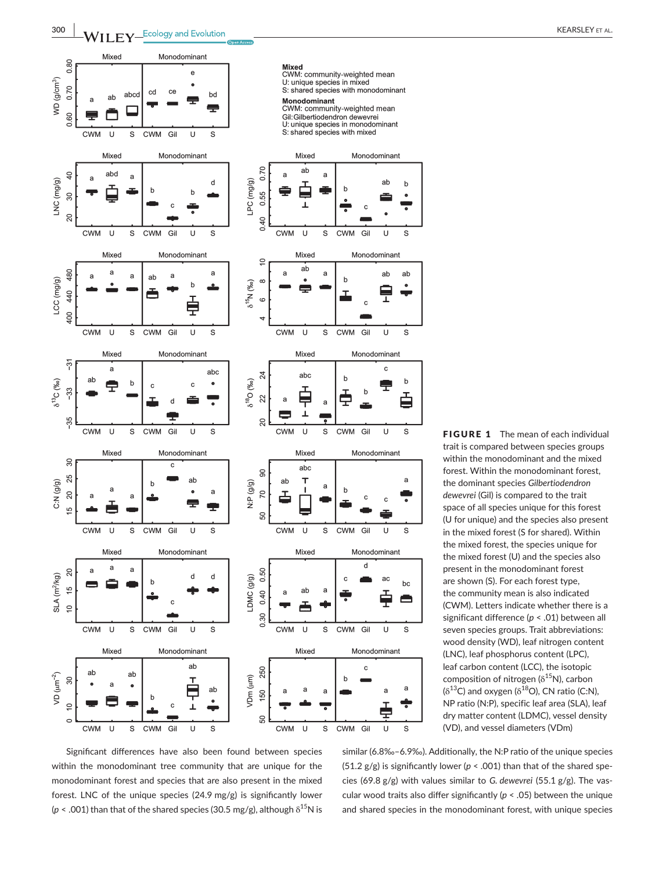

FIGURE 1 The mean of each individual trait is compared between species groups within the monodominant and the mixed forest. Within the monodominant forest, the dominant species *Gilbertiodendron dewevrei* (Gil) is compared to the trait space of all species unique for this forest (U for unique) and the species also present in the mixed forest (S for shared). Within the mixed forest, the species unique for the mixed forest (U) and the species also present in the monodominant forest are shown (S). For each forest type, the community mean is also indicated (CWM). Letters indicate whether there is a significant difference (*p* < .01) between all seven species groups. Trait abbreviations: wood density (WD), leaf nitrogen content (LNC), leaf phosphorus content (LPC), leaf carbon content (LCC), the isotopic composition of nitrogen ( $\delta^{15}$ N), carbon  $(\delta^{13}C)$  and oxygen  $(\delta^{18}O)$ , CN ratio (C:N), NP ratio (N:P), specific leaf area (SLA), leaf dry matter content (LDMC), vessel density (VD), and vessel diameters (VDm)

Significant differences have also been found between species within the monodominant tree community that are unique for the monodominant forest and species that are also present in the mixed forest. LNC of the unique species (24.9 mg/g) is significantly lower ( $p$  < .001) than that of the shared species (30.5 mg/g), although  $\delta^{15}N$  is similar (6.8‰–6.9‰). Additionally, the N:P ratio of the unique species (51.2  $g/g$ ) is significantly lower ( $p < .001$ ) than that of the shared species (69.8 g/g) with values similar to *G. dewevrei* (55.1 g/g). The vascular wood traits also differ significantly (*p* < .05) between the unique and shared species in the monodominant forest, with unique species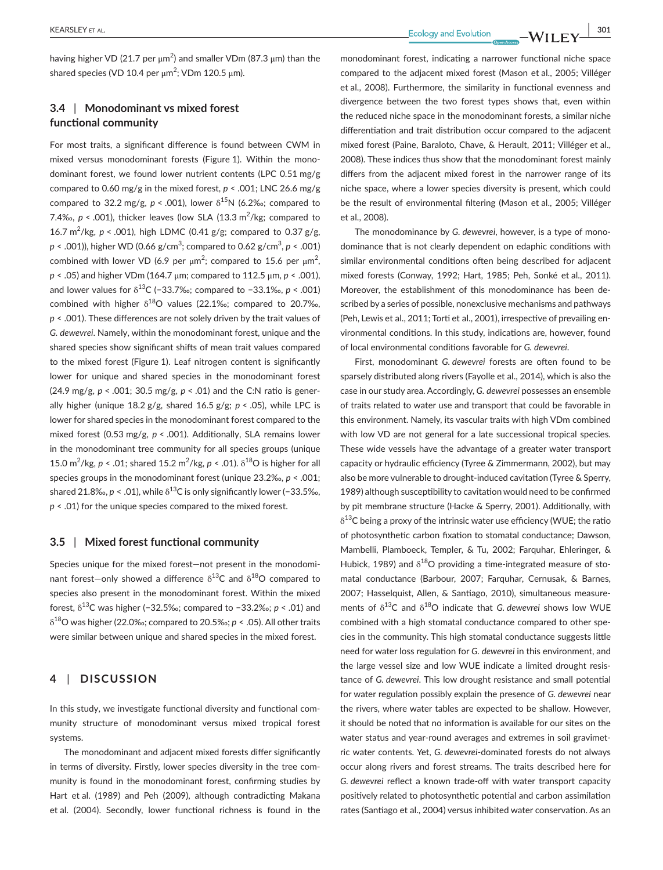having higher VD (21.7 per μm<sup>2</sup>) and smaller VDm (87.3 μm) than the shared species (VD 10.4 per μm<sup>2</sup>; VDm 120.5 μm).

## **3.4** | **Monodominant vs mixed forest functional community**

For most traits, a significant difference is found between CWM in mixed versus monodominant forests (Figure 1). Within the monodominant forest, we found lower nutrient contents (LPC 0.51 mg/g compared to 0.60 mg/g in the mixed forest, *p* < .001; LNC 26.6 mg/g compared to 32.2 mg/g,  $p < .001$ ), lower  $\delta^{15}N$  (6.2%; compared to 7.4‰,  $p <$  .001), thicker leaves (low SLA (13.3 m<sup>2</sup>/kg; compared to 16.7 m<sup>2</sup>/kg,  $p < .001$ ), high LDMC (0.41 g/g; compared to 0.37 g/g, *p* < .001)), higher WD (0.66 g/cm<sup>3</sup> ; compared to 0.62 g/cm<sup>3</sup> , *p* < .001) combined with lower VD (6.9 per  $\mu$ m<sup>2</sup>; compared to 15.6 per  $\mu$ m<sup>2</sup>, *p* < .05) and higher VDm (164.7 μm; compared to 112.5 μm, *p* < .001), and lower values for δ13C (−33.7‰; compared to −33.1‰, *p* < .001) combined with higher  $\delta^{18}O$  values (22.1‰; compared to 20.7‰, *p* < .001). These differences are not solely driven by the trait values of *G. dewevrei*. Namely, within the monodominant forest, unique and the shared species show significant shifts of mean trait values compared to the mixed forest (Figure 1). Leaf nitrogen content is significantly lower for unique and shared species in the monodominant forest (24.9 mg/g, *p* < .001; 30.5 mg/g, *p* < .01) and the C:N ratio is generally higher (unique 18.2 g/g, shared 16.5 g/g; *p* < .05), while LPC is lower for shared species in the monodominant forest compared to the mixed forest (0.53 mg/g, *p* < .001). Additionally, SLA remains lower in the monodominant tree community for all species groups (unique 15.0 m<sup>2</sup>/kg, *p* < .01; shared 15.2 m<sup>2</sup>/kg, *p* < .01).  $\delta^{18}$ O is higher for all species groups in the monodominant forest (unique 23.2‰, *p* < .001; shared 21.8‰,  $p < 0.01$ ), while  $\delta^{13}$ C is only significantly lower (-33.5‰, *p* < .01) for the unique species compared to the mixed forest.

#### **3.5** | **Mixed forest functional community**

Species unique for the mixed forest—not present in the monodominant forest-only showed a difference  $\delta^{13}$ C and  $\delta^{18}$ O compared to species also present in the monodominant forest. Within the mixed forest, δ13C was higher (−32.5‰; compared to −33.2‰; *p* < .01) and δ18O was higher (22.0‰; compared to 20.5‰; *p* < .05). All other traits were similar between unique and shared species in the mixed forest.

## **4** | **DISCUSSION**

In this study, we investigate functional diversity and functional community structure of monodominant versus mixed tropical forest systems.

The monodominant and adjacent mixed forests differ significantly in terms of diversity. Firstly, lower species diversity in the tree community is found in the monodominant forest, confirming studies by Hart et al. (1989) and Peh (2009), although contradicting Makana et al. (2004). Secondly, lower functional richness is found in the monodominant forest, indicating a narrower functional niche space compared to the adjacent mixed forest (Mason et al., 2005; Villéger et al., 2008). Furthermore, the similarity in functional evenness and divergence between the two forest types shows that, even within the reduced niche space in the monodominant forests, a similar niche differentiation and trait distribution occur compared to the adjacent mixed forest (Paine, Baraloto, Chave, & Herault, 2011; Villéger et al., 2008). These indices thus show that the monodominant forest mainly differs from the adjacent mixed forest in the narrower range of its niche space, where a lower species diversity is present, which could be the result of environmental filtering (Mason et al., 2005; Villéger et al., 2008).

The monodominance by *G. dewevrei*, however, is a type of monodominance that is not clearly dependent on edaphic conditions with similar environmental conditions often being described for adjacent mixed forests (Conway, 1992; Hart, 1985; Peh, Sonké et al., 2011). Moreover, the establishment of this monodominance has been described by a series of possible, nonexclusive mechanisms and pathways (Peh, Lewis et al., 2011; Torti et al., 2001), irrespective of prevailing environmental conditions. In this study, indications are, however, found of local environmental conditions favorable for *G. dewevrei*.

First, monodominant *G. dewevrei* forests are often found to be sparsely distributed along rivers (Fayolle et al., 2014), which is also the case in our study area. Accordingly, *G. dewevrei* possesses an ensemble of traits related to water use and transport that could be favorable in this environment. Namely, its vascular traits with high VDm combined with low VD are not general for a late successional tropical species. These wide vessels have the advantage of a greater water transport capacity or hydraulic efficiency (Tyree & Zimmermann, 2002), but may also be more vulnerable to drought-induced cavitation (Tyree & Sperry, 1989) although susceptibility to cavitation would need to be confirmed by pit membrane structure (Hacke & Sperry, 2001). Additionally, with  $\delta^{13}$ C being a proxy of the intrinsic water use efficiency (WUE; the ratio of photosynthetic carbon fixation to stomatal conductance; Dawson, Mambelli, Plamboeck, Templer, & Tu, 2002; Farquhar, Ehleringer, & Hubick, 1989) and  $\delta^{18}O$  providing a time-integrated measure of stomatal conductance (Barbour, 2007; Farquhar, Cernusak, & Barnes, 2007; Hasselquist, Allen, & Santiago, 2010), simultaneous measurements of δ13C and δ18O indicate that *G. dewevrei* shows low WUE combined with a high stomatal conductance compared to other species in the community. This high stomatal conductance suggests little need for water loss regulation for *G. dewevrei* in this environment, and the large vessel size and low WUE indicate a limited drought resistance of *G. dewevrei*. This low drought resistance and small potential for water regulation possibly explain the presence of *G. dewevrei* near the rivers, where water tables are expected to be shallow. However, it should be noted that no information is available for our sites on the water status and year-round averages and extremes in soil gravimetric water contents. Yet, *G. dewevrei*-dominated forests do not always occur along rivers and forest streams. The traits described here for *G. dewevrei* reflect a known trade-off with water transport capacity positively related to photosynthetic potential and carbon assimilation rates (Santiago et al., 2004) versus inhibited water conservation. As an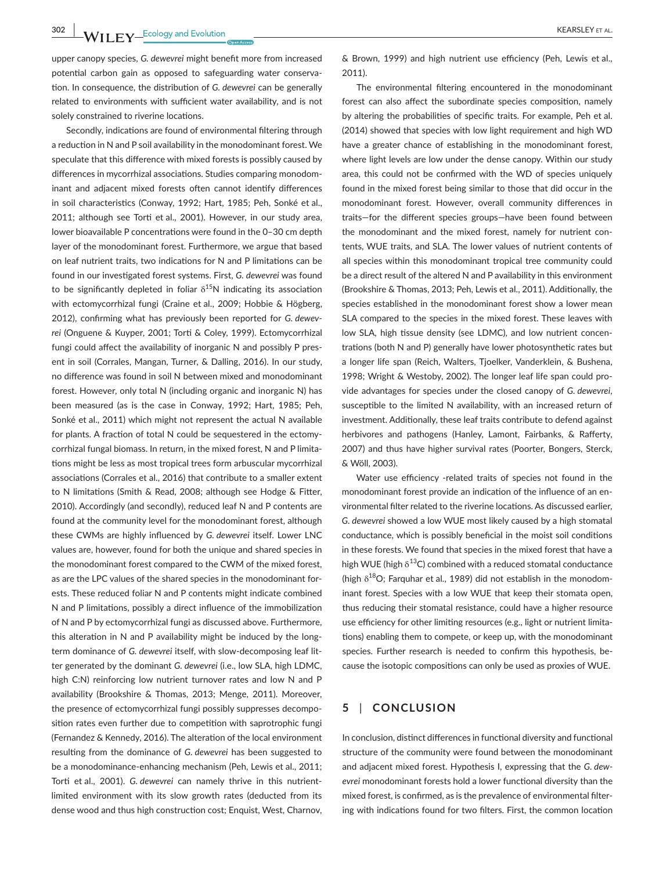**302 WII FY** Ecology and Evolution **COVID-1000** COVID-1000 COVID-1000 COVID-1000 COVID-1000 COVID-1000 COVID-1000 COVID-1000 COVID-1000 COVID-1000 COVID-1000 COVID-1000 COVID-1000 COVID-1000 COVID-1000 COVID-1000 COVID-100

upper canopy species, *G. dewevrei* might benefit more from increased potential carbon gain as opposed to safeguarding water conservation. In consequence, the distribution of *G. dewevrei* can be generally related to environments with sufficient water availability, and is not solely constrained to riverine locations.

Secondly, indications are found of environmental filtering through a reduction in N and P soil availability in the monodominant forest. We speculate that this difference with mixed forests is possibly caused by differences in mycorrhizal associations. Studies comparing monodominant and adjacent mixed forests often cannot identify differences in soil characteristics (Conway, 1992; Hart, 1985; Peh, Sonké et al., 2011; although see Torti et al., 2001). However, in our study area, lower bioavailable P concentrations were found in the 0–30 cm depth layer of the monodominant forest. Furthermore, we argue that based on leaf nutrient traits, two indications for N and P limitations can be found in our investigated forest systems. First, *G. dewevrei* was found to be significantly depleted in foliar  $\delta^{15}N$  indicating its association with ectomycorrhizal fungi (Craine et al., 2009; Hobbie & Högberg, 2012), confirming what has previously been reported for *G. dewevrei* (Onguene & Kuyper, 2001; Torti & Coley, 1999). Ectomycorrhizal fungi could affect the availability of inorganic N and possibly P present in soil (Corrales, Mangan, Turner, & Dalling, 2016). In our study, no difference was found in soil N between mixed and monodominant forest. However, only total N (including organic and inorganic N) has been measured (as is the case in Conway, 1992; Hart, 1985; Peh, Sonké et al., 2011) which might not represent the actual N available for plants. A fraction of total N could be sequestered in the ectomycorrhizal fungal biomass. In return, in the mixed forest, N and P limitations might be less as most tropical trees form arbuscular mycorrhizal associations (Corrales et al., 2016) that contribute to a smaller extent to N limitations (Smith & Read, 2008; although see Hodge & Fitter, 2010). Accordingly (and secondly), reduced leaf N and P contents are found at the community level for the monodominant forest, although these CWMs are highly influenced by *G. dewevrei* itself. Lower LNC values are, however, found for both the unique and shared species in the monodominant forest compared to the CWM of the mixed forest, as are the LPC values of the shared species in the monodominant forests. These reduced foliar N and P contents might indicate combined N and P limitations, possibly a direct influence of the immobilization of N and P by ectomycorrhizal fungi as discussed above. Furthermore, this alteration in N and P availability might be induced by the longterm dominance of *G. dewevrei* itself, with slow-decomposing leaf litter generated by the dominant *G. dewevrei* (i.e., low SLA, high LDMC, high C:N) reinforcing low nutrient turnover rates and low N and P availability (Brookshire & Thomas, 2013; Menge, 2011). Moreover, the presence of ectomycorrhizal fungi possibly suppresses decomposition rates even further due to competition with saprotrophic fungi (Fernandez & Kennedy, 2016). The alteration of the local environment resulting from the dominance of *G. dewevrei* has been suggested to be a monodominance-enhancing mechanism (Peh, Lewis et al., 2011; Torti et al., 2001). *G. dewevrei* can namely thrive in this nutrientlimited environment with its slow growth rates (deducted from its dense wood and thus high construction cost; Enquist, West, Charnov,

& Brown, 1999) and high nutrient use efficiency (Peh, Lewis et al., 2011).

The environmental filtering encountered in the monodominant forest can also affect the subordinate species composition, namely by altering the probabilities of specific traits. For example, Peh et al. (2014) showed that species with low light requirement and high WD have a greater chance of establishing in the monodominant forest, where light levels are low under the dense canopy. Within our study area, this could not be confirmed with the WD of species uniquely found in the mixed forest being similar to those that did occur in the monodominant forest. However, overall community differences in traits—for the different species groups—have been found between the monodominant and the mixed forest, namely for nutrient contents, WUE traits, and SLA. The lower values of nutrient contents of all species within this monodominant tropical tree community could be a direct result of the altered N and P availability in this environment (Brookshire & Thomas, 2013; Peh, Lewis et al., 2011). Additionally, the species established in the monodominant forest show a lower mean SLA compared to the species in the mixed forest. These leaves with low SLA, high tissue density (see LDMC), and low nutrient concentrations (both N and P) generally have lower photosynthetic rates but a longer life span (Reich, Walters, Tjoelker, Vanderklein, & Bushena, 1998; Wright & Westoby, 2002). The longer leaf life span could provide advantages for species under the closed canopy of *G. dewevrei*, susceptible to the limited N availability, with an increased return of investment. Additionally, these leaf traits contribute to defend against herbivores and pathogens (Hanley, Lamont, Fairbanks, & Rafferty, 2007) and thus have higher survival rates (Poorter, Bongers, Sterck, & Wöll, 2003).

Water use efficiency -related traits of species not found in the monodominant forest provide an indication of the influence of an environmental filter related to the riverine locations. As discussed earlier, *G. dewevrei* showed a low WUE most likely caused by a high stomatal conductance, which is possibly beneficial in the moist soil conditions in these forests. We found that species in the mixed forest that have a high WUE (high  $\delta^{13}$ C) combined with a reduced stomatal conductance (high  $\delta^{18}O$ ; Farquhar et al., 1989) did not establish in the monodominant forest. Species with a low WUE that keep their stomata open, thus reducing their stomatal resistance, could have a higher resource use efficiency for other limiting resources (e.g., light or nutrient limitations) enabling them to compete, or keep up, with the monodominant species. Further research is needed to confirm this hypothesis, because the isotopic compositions can only be used as proxies of WUE.

## **5** | **CONCLUSION**

In conclusion, distinct differences in functional diversity and functional structure of the community were found between the monodominant and adjacent mixed forest. Hypothesis I, expressing that the *G. dewevrei* monodominant forests hold a lower functional diversity than the mixed forest, is confirmed, as is the prevalence of environmental filtering with indications found for two filters. First, the common location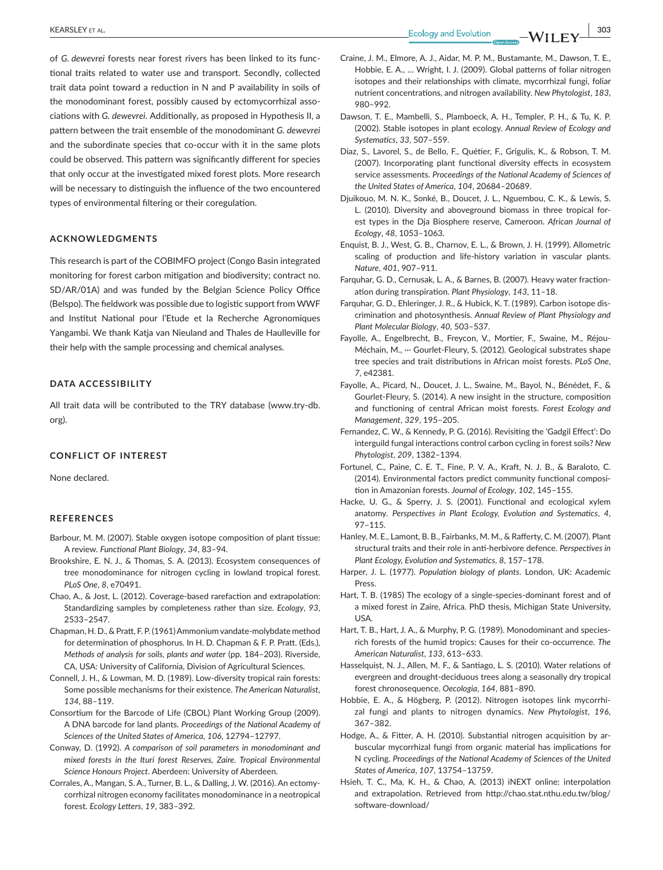of *G. dewevrei* forests near forest rivers has been linked to its functional traits related to water use and transport. Secondly, collected trait data point toward a reduction in N and P availability in soils of the monodominant forest, possibly caused by ectomycorrhizal associations with *G. dewevrei*. Additionally, as proposed in Hypothesis II, a pattern between the trait ensemble of the monodominant *G. dewevrei* and the subordinate species that co-occur with it in the same plots could be observed. This pattern was significantly different for species that only occur at the investigated mixed forest plots. More research will be necessary to distinguish the influence of the two encountered types of environmental filtering or their coregulation.

#### **ACKNOWLEDGMENTS**

This research is part of the COBIMFO project (Congo Basin integrated monitoring for forest carbon mitigation and biodiversity; contract no. SD/AR/01A) and was funded by the Belgian Science Policy Office (Belspo). The fieldwork was possible due to logistic support from WWF and Institut National pour l'Etude et la Recherche Agronomiques Yangambi. We thank Katja van Nieuland and Thales de Haulleville for their help with the sample processing and chemical analyses.

#### **DATA ACCESSIBILITY**

All trait data will be contributed to the TRY database [\(www.try-db.](http://www.try-db.org) [org](http://www.try-db.org)).

#### **CONFLICT OF INTEREST**

None declared.

#### **REFERENCES**

- Barbour, M. M. (2007). Stable oxygen isotope composition of plant tissue: A review. *Functional Plant Biology*, *34*, 83–94.
- Brookshire, E. N. J., & Thomas, S. A. (2013). Ecosystem consequences of tree monodominance for nitrogen cycling in lowland tropical forest. *PLoS One*, *8*, e70491.
- Chao, A., & Jost, L. (2012). Coverage-based rarefaction and extrapolation: Standardizing samples by completeness rather than size. *Ecology*, *93*, 2533–2547.
- Chapman, H. D., & Pratt, F. P. (1961) Ammonium vandate-molybdate method for determination of phosphorus. In H. D. Chapman & F. P. Pratt. (Eds.), *Methods of analysis for soils, plants and water* (pp. 184–203). Riverside, CA, USA: University of California, Division of Agricultural Sciences.
- Connell, J. H., & Lowman, M. D. (1989). Low-diversity tropical rain forests: Some possible mechanisms for their existence. *The American Naturalist*, *134*, 88–119.
- Consortium for the Barcode of Life (CBOL) Plant Working Group (2009). A DNA barcode for land plants. *Proceedings of the National Academy of Sciences of the United States of America*, *106*, 12794–12797.
- Conway, D. (1992). *A comparison of soil parameters in monodominant and mixed forests in the Ituri forest Reserves, Zaire. Tropical Environmental Science Honours Project*. Aberdeen: University of Aberdeen.
- Corrales, A., Mangan, S. A., Turner, B. L., & Dalling, J. W. (2016). An ectomycorrhizal nitrogen economy facilitates monodominance in a neotropical forest. *Ecology Letters*, *19*, 383–392.
- Craine, J. M., Elmore, A. J., Aidar, M. P. M., Bustamante, M., Dawson, T. E., Hobbie, E. A., … Wright, I. J. (2009). Global patterns of foliar nitrogen isotopes and their relationships with climate, mycorrhizal fungi, foliar nutrient concentrations, and nitrogen availability. *New Phytologist*, *183*, 980–992.
- Dawson, T. E., Mambelli, S., Plamboeck, A. H., Templer, P. H., & Tu, K. P. (2002). Stable isotopes in plant ecology. *Annual Review of Ecology and Systematics*, *33*, 507–559.
- Díaz, S., Lavorel, S., de Bello, F., Quétier, F., Grigulis, K., & Robson, T. M. (2007). Incorporating plant functional diversity effects in ecosystem service assessments. *Proceedings of the National Academy of Sciences of the United States of America*, *104*, 20684–20689.
- Djuikouo, M. N. K., Sonké, B., Doucet, J. L., Nguembou, C. K., & Lewis, S. L. (2010). Diversity and aboveground biomass in three tropical forest types in the Dja Biosphere reserve, Cameroon. *African Journal of Ecology*, *48*, 1053–1063.
- Enquist, B. J., West, G. B., Charnov, E. L., & Brown, J. H. (1999). Allometric scaling of production and life-history variation in vascular plants. *Nature*, *401*, 907–911.
- Farquhar, G. D., Cernusak, L. A., & Barnes, B. (2007). Heavy water fractionation during transpiration. *Plant Physiology*, *143*, 11–18.
- Farquhar, G. D., Ehleringer, J. R., & Hubick, K. T. (1989). Carbon isotope discrimination and photosynthesis. *Annual Review of Plant Physiology and Plant Molecular Biology*, *40*, 503–537.
- Fayolle, A., Engelbrecht, B., Freycon, V., Mortier, F., Swaine, M., Réjou-Méchain, M., ··· Gourlet-Fleury, S. (2012). Geological substrates shape tree species and trait distributions in African moist forests. *PLoS One*, *7*, e42381.
- Fayolle, A., Picard, N., Doucet, J. L., Swaine, M., Bayol, N., Bénédet, F., & Gourlet-Fleury, S. (2014). A new insight in the structure, composition and functioning of central African moist forests. *Forest Ecology and Management*, *329*, 195–205.
- Fernandez, C. W., & Kennedy, P. G. (2016). Revisiting the 'Gadgil Effect': Do interguild fungal interactions control carbon cycling in forest soils? *New Phytologist*, *209*, 1382–1394.
- Fortunel, C., Paine, C. E. T., Fine, P. V. A., Kraft, N. J. B., & Baraloto, C. (2014). Environmental factors predict community functional composition in Amazonian forests. *Journal of Ecology*, *102*, 145–155.
- Hacke, U. G., & Sperry, J. S. (2001). Functional and ecological xylem anatomy. *Perspectives in Plant Ecology, Evolution and Systematics*, *4*, 97–115.
- Hanley, M. E., Lamont, B. B., Fairbanks, M. M., & Rafferty, C. M. (2007). Plant structural traits and their role in anti-herbivore defence. *Perspectives in Plant Ecology, Evolution and Systematics*, *8*, 157–178.
- Harper, J. L. (1977). *Population biology of plants*. London, UK: Academic Press.
- Hart, T. B. (1985) The ecology of a single-species-dominant forest and of a mixed forest in Zaire, Africa. PhD thesis, Michigan State University, **USA**
- Hart, T. B., Hart, J. A., & Murphy, P. G. (1989). Monodominant and speciesrich forests of the humid tropics: Causes for their co-occurrence. *The American Naturalist*, *133*, 613–633.
- Hasselquist, N. J., Allen, M. F., & Santiago, L. S. (2010). Water relations of evergreen and drought-deciduous trees along a seasonally dry tropical forest chronosequence. *Oecologia*, *164*, 881–890.
- Hobbie, E. A., & Högberg, P. (2012). Nitrogen isotopes link mycorrhizal fungi and plants to nitrogen dynamics. *New Phytologist*, *196*, 367–382.
- Hodge, A., & Fitter, A. H. (2010). Substantial nitrogen acquisition by arbuscular mycorrhizal fungi from organic material has implications for N cycling. *Proceedings of the National Academy of Sciences of the United States of America*, *107*, 13754–13759.
- Hsieh, T. C., Ma, K. H., & Chao, A. (2013) iNEXT online: interpolation and extrapolation. Retrieved from [http://chao.stat.nthu.edu.tw/blog/](http://chao.stat.nthu.edu.tw/blog/software-download/) [software-download/](http://chao.stat.nthu.edu.tw/blog/software-download/)